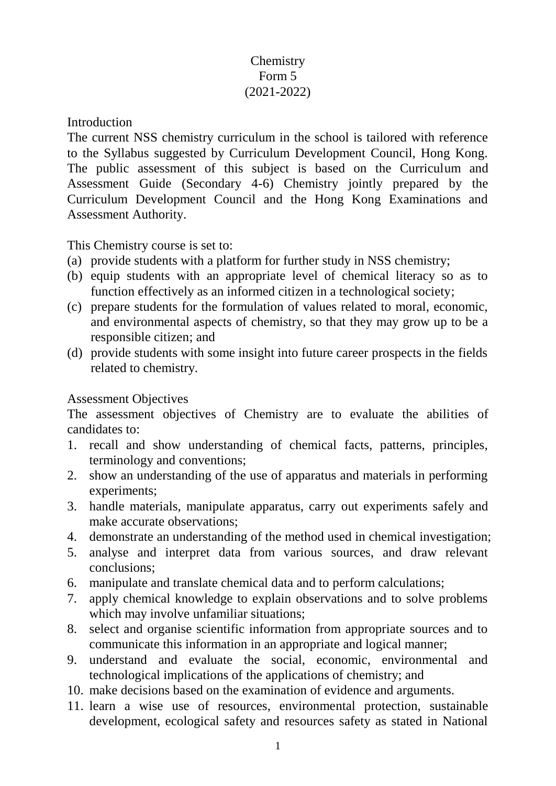## **Chemistry** Form 5 (2021-2022)

#### Introduction

The current NSS chemistry curriculum in the school is tailored with reference to the Syllabus suggested by Curriculum Development Council, Hong Kong. The public assessment of this subject is based on the Curriculum and Assessment Guide (Secondary 4-6) Chemistry jointly prepared by the Curriculum Development Council and the Hong Kong Examinations and Assessment Authority.

This Chemistry course is set to:

- (a) provide students with a platform for further study in NSS chemistry;
- (b) equip students with an appropriate level of chemical literacy so as to function effectively as an informed citizen in a technological society;
- (c) prepare students for the formulation of values related to moral, economic, and environmental aspects of chemistry, so that they may grow up to be a responsible citizen; and
- (d) provide students with some insight into future career prospects in the fields related to chemistry.

#### Assessment Objectives

The assessment objectives of Chemistry are to evaluate the abilities of candidates to:

- 1. recall and show understanding of chemical facts, patterns, principles, terminology and conventions;
- 2. show an understanding of the use of apparatus and materials in performing experiments;
- 3. handle materials, manipulate apparatus, carry out experiments safely and make accurate observations;
- 4. demonstrate an understanding of the method used in chemical investigation;
- 5. analyse and interpret data from various sources, and draw relevant conclusions;
- 6. manipulate and translate chemical data and to perform calculations;
- 7. apply chemical knowledge to explain observations and to solve problems which may involve unfamiliar situations;
- 8. select and organise scientific information from appropriate sources and to communicate this information in an appropriate and logical manner;
- 9. understand and evaluate the social, economic, environmental and technological implications of the applications of chemistry; and
- 10. make decisions based on the examination of evidence and arguments.
- 11. learn a wise use of resources, environmental protection, sustainable development, ecological safety and resources safety as stated in National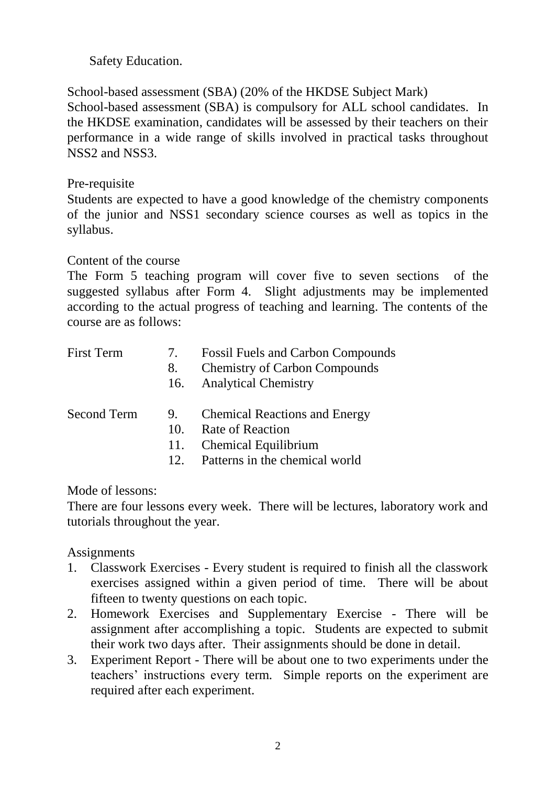Safety Education.

School-based assessment (SBA) (20% of the HKDSE Subject Mark) School-based assessment (SBA) is compulsory for ALL school candidates. In the HKDSE examination, candidates will be assessed by their teachers on their performance in a wide range of skills involved in practical tasks throughout NSS2 and NSS3.

### Pre-requisite

Students are expected to have a good knowledge of the chemistry components of the junior and NSS1 secondary science courses as well as topics in the syllabus.

### Content of the course

The Form 5 teaching program will cover five to seven sections of the suggested syllabus after Form 4. Slight adjustments may be implemented according to the actual progress of teaching and learning. The contents of the course are as follows:

| <b>First Term</b> | $\gamma$ .<br>8. | <b>Fossil Fuels and Carbon Compounds</b><br><b>Chemistry of Carbon Compounds</b><br>16. Analytical Chemistry |
|-------------------|------------------|--------------------------------------------------------------------------------------------------------------|
| Second Term       | 9.<br>10.        | <b>Chemical Reactions and Energy</b><br>Rate of Reaction<br>11. Chemical Equilibrium                         |

12. Patterns in the chemical world

Mode of lessons:

There are four lessons every week. There will be lectures, laboratory work and tutorials throughout the year.

# **Assignments**

- 1. Classwork Exercises Every student is required to finish all the classwork exercises assigned within a given period of time. There will be about fifteen to twenty questions on each topic.
- 2. Homework Exercises and Supplementary Exercise There will be assignment after accomplishing a topic. Students are expected to submit their work two days after. Their assignments should be done in detail.
- 3. Experiment Report There will be about one to two experiments under the teachers' instructions every term. Simple reports on the experiment are required after each experiment.